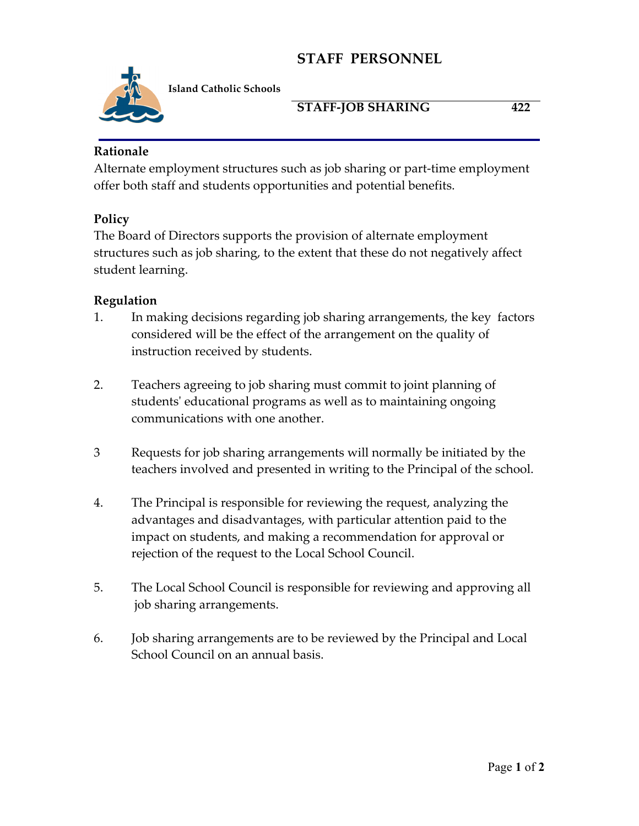# **STAFF PERSONNEL**



**Island Catholic Schools** 

## **STAFF-JOB SHARING 422**

#### **Rationale**

Alternate employment structures such as job sharing or part-time employment offer both staff and students opportunities and potential benefits.

## **Policy**

The Board of Directors supports the provision of alternate employment structures such as job sharing, to the extent that these do not negatively affect student learning.

#### **Regulation**

- 1. In making decisions regarding job sharing arrangements, the key factors considered will be the effect of the arrangement on the quality of instruction received by students.
- 2. Teachers agreeing to job sharing must commit to joint planning of students' educational programs as well as to maintaining ongoing communications with one another.
- 3 Requests for job sharing arrangements will normally be initiated by the teachers involved and presented in writing to the Principal of the school.
- 4. The Principal is responsible for reviewing the request, analyzing the advantages and disadvantages, with particular attention paid to the impact on students, and making a recommendation for approval or rejection of the request to the Local School Council.
- 5. The Local School Council is responsible for reviewing and approving all job sharing arrangements.
- 6. Job sharing arrangements are to be reviewed by the Principal and Local School Council on an annual basis.